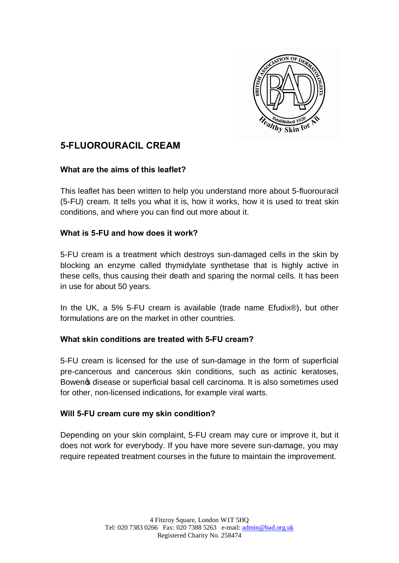

# **5-FLUOROURACIL CREAM**

## **What are the aims of this leaflet?**

This leaflet has been written to help you understand more about 5-fluorouracil (5-FU) cream. It tells you what it is, how it works, how it is used to treat skin conditions, and where you can find out more about it.

#### **What is 5-FU and how does it work?**

5-FU cream is a treatment which destroys sun-damaged cells in the skin by blocking an enzyme called thymidylate synthetase that is highly active in these cells, thus causing their death and sparing the normal cells. It has been in use for about 50 years.

In the UK, a 5% 5-FU cream is available (trade name Efudix®), but other formulations are on the market in other countries.

## **What skin conditions are treated with 5-FU cream?**

5-FU cream is licensed for the use of sun-damage in the form of superficial pre-cancerous and cancerous skin conditions, such as actinic keratoses, Bowen ts disease or superficial basal cell carcinoma. It is also sometimes used for other, non-licensed indications, for example viral warts.

## **Will 5-FU cream cure my skin condition?**

Depending on your skin complaint, 5-FU cream may cure or improve it, but it does not work for everybody. If you have more severe sun-damage, you may require repeated treatment courses in the future to maintain the improvement.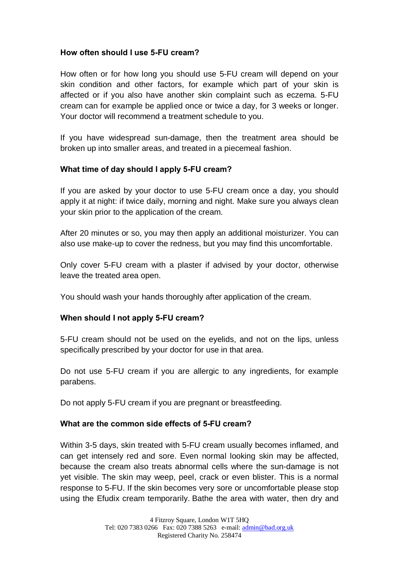## **How often should I use 5-FU cream?**

How often or for how long you should use 5-FU cream will depend on your skin condition and other factors, for example which part of your skin is affected or if you also have another skin complaint such as eczema. 5-FU cream can for example be applied once or twice a day, for 3 weeks or longer. Your doctor will recommend a treatment schedule to you.

If you have widespread sun-damage, then the treatment area should be broken up into smaller areas, and treated in a piecemeal fashion.

## **What time of day should I apply 5-FU cream?**

If you are asked by your doctor to use 5-FU cream once a day, you should apply it at night: if twice daily, morning and night. Make sure you always clean your skin prior to the application of the cream.

After 20 minutes or so, you may then apply an additional moisturizer. You can also use make-up to cover the redness, but you may find this uncomfortable.

Only cover 5-FU cream with a plaster if advised by your doctor, otherwise leave the treated area open.

You should wash your hands thoroughly after application of the cream.

## **When should I not apply 5-FU cream?**

5-FU cream should not be used on the eyelids, and not on the lips, unless specifically prescribed by your doctor for use in that area.

Do not use 5-FU cream if you are allergic to any ingredients, for example parabens.

Do not apply 5-FU cream if you are pregnant or breastfeeding.

#### **What are the common side effects of 5-FU cream?**

Within 3-5 days, skin treated with 5-FU cream usually becomes inflamed, and can get intensely red and sore. Even normal looking skin may be affected, because the cream also treats abnormal cells where the sun-damage is not yet visible. The skin may weep, peel, crack or even blister. This is a normal response to 5-FU. If the skin becomes very sore or uncomfortable please stop using the Efudix cream temporarily. Bathe the area with water, then dry and